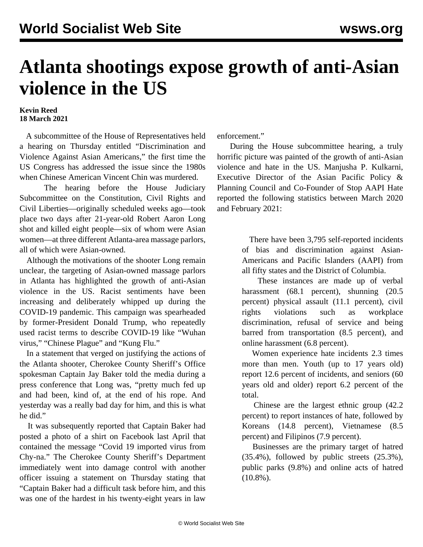## **Atlanta shootings expose growth of anti-Asian violence in the US**

## **Kevin Reed 18 March 2021**

 A subcommittee of the House of Representatives held a hearing on Thursday entitled "Discrimination and Violence Against Asian Americans," the first time the US Congress has addressed the issue since the 1980s when Chinese American Vincent Chin was murdered.

 The hearing before the House Judiciary Subcommittee on the Constitution, Civil Rights and Civil Liberties—originally scheduled weeks ago—took place two days after 21-year-old Robert Aaron Long shot and killed eight people—six of whom were Asian women—at three different Atlanta-area massage parlors, all of which were Asian-owned.

 Although the motivations of the shooter Long remain unclear, the targeting of Asian-owned massage parlors in Atlanta has highlighted the growth of anti-Asian violence in the US. Racist sentiments have been increasing and deliberately whipped up during the COVID-19 pandemic. This campaign was spearheaded by former-President Donald Trump, who repeatedly used racist terms to describe COVID-19 like "Wuhan virus," "Chinese Plague" and "Kung Flu."

 In a statement that verged on justifying the actions of the Atlanta shooter, Cherokee County Sheriff's Office spokesman Captain Jay Baker told the media during a press conference that Long was, "pretty much fed up and had been, kind of, at the end of his rope. And yesterday was a really bad day for him, and this is what he did."

 It was subsequently reported that Captain Baker had posted a photo of a shirt on Facebook last April that contained the message "Covid 19 imported virus from Chy-na." The Cherokee County Sheriff's Department immediately went into damage control with another officer issuing a statement on Thursday stating that "Captain Baker had a difficult task before him, and this was one of the hardest in his twenty-eight years in law

enforcement."

 During the House subcommittee hearing, a truly horrific picture was painted of the growth of anti-Asian violence and hate in the US. Manjusha P. Kulkarni, Executive Director of the Asian Pacific Policy & Planning Council and Co-Founder of Stop AAPI Hate reported the following statistics between March 2020 and February 2021:

> There have been 3,795 self-reported incidents of bias and discrimination against Asian-Americans and Pacific Islanders (AAPI) from all fifty states and the District of Columbia.

> These instances are made up of verbal harassment (68.1 percent), shunning (20.5 percent) physical assault (11.1 percent), civil rights violations such as workplace discrimination, refusal of service and being barred from transportation (8.5 percent), and online harassment (6.8 percent).

> Women experience hate incidents 2.3 times more than men. Youth (up to 17 years old) report 12.6 percent of incidents, and seniors (60 years old and older) report 6.2 percent of the total.

> Chinese are the largest ethnic group (42.2 percent) to report instances of hate, followed by Koreans (14.8 percent), Vietnamese (8.5 percent) and Filipinos (7.9 percent).

> Businesses are the primary target of hatred (35.4%), followed by public streets (25.3%), public parks (9.8%) and online acts of hatred (10.8%).